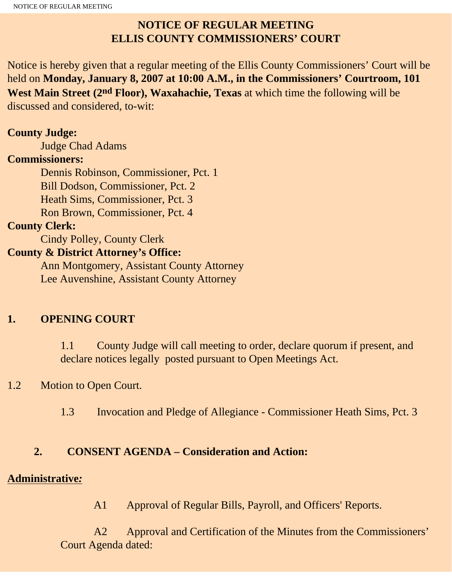# **NOTICE OF REGULAR MEETING ELLIS COUNTY COMMISSIONERS' COURT**

Notice is hereby given that a regular meeting of the Ellis County Commissioners' Court will be held on **Monday, January 8, 2007 at 10:00 A.M., in the Commissioners' Courtroom, 101 West Main Street (2nd Floor), Waxahachie, Texas** at which time the following will be discussed and considered, to-wit:

### **County Judge:**

Judge Chad Adams

### **Commissioners:**

 Dennis Robinson, Commissioner, Pct. 1 Bill Dodson, Commissioner, Pct. 2 Heath Sims, Commissioner, Pct. 3 Ron Brown, Commissioner, Pct. 4

## **County Clerk:**

Cindy Polley, County Clerk

## **County & District Attorney's Office:**

 Ann Montgomery, Assistant County Attorney Lee Auvenshine, Assistant County Attorney

# **1. OPENING COURT**

1.1 County Judge will call meeting to order, declare quorum if present, and declare notices legally posted pursuant to Open Meetings Act.

# 1.2 Motion to Open Court.

1.3 Invocation and Pledge of Allegiance - Commissioner Heath Sims, Pct. 3

# **2. CONSENT AGENDA – Consideration and Action:**

## **Administrative***:*

A1 Approval of Regular Bills, Payroll, and Officers' Reports.

 A2 Approval and Certification of the Minutes from the Commissioners' Court Agenda dated: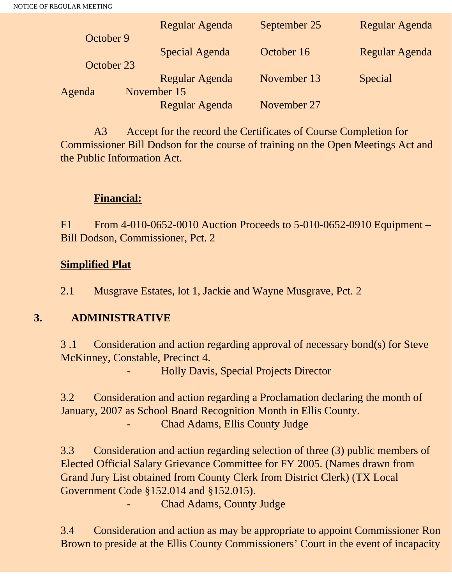|            | Regular Agenda | September 25 | Regular Agenda |
|------------|----------------|--------------|----------------|
| October 9  | Special Agenda | October 16   | Regular Agenda |
| October 23 | Regular Agenda | November 13  |                |
| Agenda     | November 15    |              | Special        |
|            | Regular Agenda | November 27  |                |

A3 Accept for the record the Certificates of Course Completion for Commissioner Bill Dodson for the course of training on the Open Meetings Act and the Public Information Act.

### **Financial:**

F1 From 4-010-0652-0010 Auction Proceeds to 5-010-0652-0910 Equipment – Bill Dodson, Commissioner, Pct. 2

#### **Simplified Plat**

2.1 Musgrave Estates, lot 1, Jackie and Wayne Musgrave, Pct. 2

## **3. ADMINISTRATIVE**

3 .1 Consideration and action regarding approval of necessary bond(s) for Steve McKinney, Constable, Precinct 4.

- Holly Davis, Special Projects Director

3.2 Consideration and action regarding a Proclamation declaring the month of January, 2007 as School Board Recognition Month in Ellis County. - Chad Adams, Ellis County Judge

3.3 Consideration and action regarding selection of three (3) public members of Elected Official Salary Grievance Committee for FY 2005. (Names drawn from Grand Jury List obtained from County Clerk from District Clerk) (TX Local Government Code §152.014 and §152.015).

Chad Adams, County Judge

3.4 Consideration and action as may be appropriate to appoint Commissioner Ron Brown to preside at the Ellis County Commissioners' Court in the event of incapacity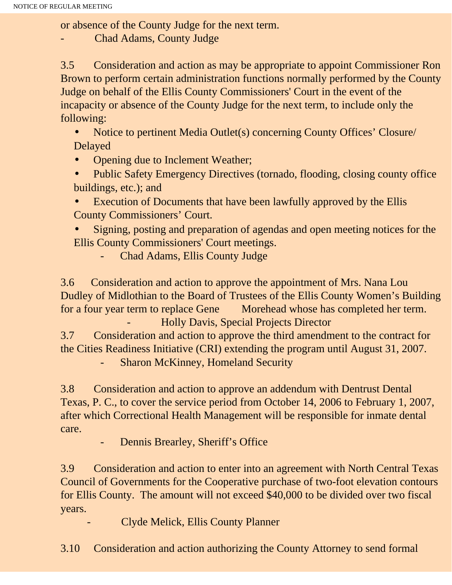or absence of the County Judge for the next term.

Chad Adams, County Judge

3.5 Consideration and action as may be appropriate to appoint Commissioner Ron Brown to perform certain administration functions normally performed by the County Judge on behalf of the Ellis County Commissioners' Court in the event of the incapacity or absence of the County Judge for the next term, to include only the following:

• Notice to pertinent Media Outlet(s) concerning County Offices' Closure/ Delayed

- Opening due to Inclement Weather;
- Public Safety Emergency Directives (tornado, flooding, closing county office buildings, etc.); and
- Execution of Documents that have been lawfully approved by the Ellis County Commissioners' Court.
- Signing, posting and preparation of agendas and open meeting notices for the Ellis County Commissioners' Court meetings.
	- Chad Adams, Ellis County Judge

3.6 Consideration and action to approve the appointment of Mrs. Nana Lou Dudley of Midlothian to the Board of Trustees of the Ellis County Women's Building for a four year term to replace Gene Morehead whose has completed her term. - Holly Davis, Special Projects Director

3.7 Consideration and action to approve the third amendment to the contract for the Cities Readiness Initiative (CRI) extending the program until August 31, 2007.

**Sharon McKinney, Homeland Security** 

3.8 Consideration and action to approve an addendum with Dentrust Dental Texas, P. C., to cover the service period from October 14, 2006 to February 1, 2007, after which Correctional Health Management will be responsible for inmate dental care.

- Dennis Brearley, Sheriff's Office

3.9 Consideration and action to enter into an agreement with North Central Texas Council of Governments for the Cooperative purchase of two-foot elevation contours for Ellis County. The amount will not exceed \$40,000 to be divided over two fiscal years.

- Clyde Melick, Ellis County Planner

3.10 Consideration and action authorizing the County Attorney to send formal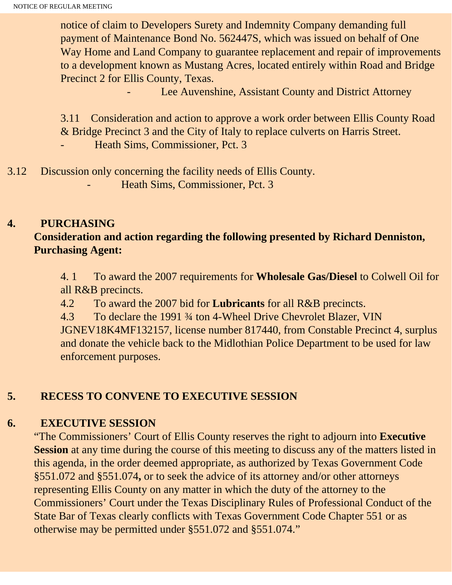notice of claim to Developers Surety and Indemnity Company demanding full payment of Maintenance Bond No. 562447S, which was issued on behalf of One Way Home and Land Company to guarantee replacement and repair of improvements to a development known as Mustang Acres, located entirely within Road and Bridge Precinct 2 for Ellis County, Texas.

Lee Auvenshine, Assistant County and District Attorney

3.11 Consideration and action to approve a work order between Ellis County Road & Bridge Precinct 3 and the City of Italy to replace culverts on Harris Street. Heath Sims, Commissioner, Pct. 3

3.12 Discussion only concerning the facility needs of Ellis County. Heath Sims, Commissioner, Pct. 3

### **4. PURCHASING**

## **Consideration and action regarding the following presented by Richard Denniston, Purchasing Agent:**

4. 1 To award the 2007 requirements for **Wholesale Gas/Diesel** to Colwell Oil for all R&B precincts.

4.2 To award the 2007 bid for **Lubricants** for all R&B precincts.

4.3 To declare the 1991 ¾ ton 4-Wheel Drive Chevrolet Blazer, VIN JGNEV18K4MF132157, license number 817440, from Constable Precinct 4, surplus and donate the vehicle back to the Midlothian Police Department to be used for law enforcement purposes.

## **5. RECESS TO CONVENE TO EXECUTIVE SESSION**

## **6. EXECUTIVE SESSION**

"The Commissioners' Court of Ellis County reserves the right to adjourn into **Executive Session** at any time during the course of this meeting to discuss any of the matters listed in this agenda, in the order deemed appropriate, as authorized by Texas Government Code §551.072 and §551.074**,** or to seek the advice of its attorney and/or other attorneys representing Ellis County on any matter in which the duty of the attorney to the Commissioners' Court under the Texas Disciplinary Rules of Professional Conduct of the State Bar of Texas clearly conflicts with Texas Government Code Chapter 551 or as otherwise may be permitted under §551.072 and §551.074."